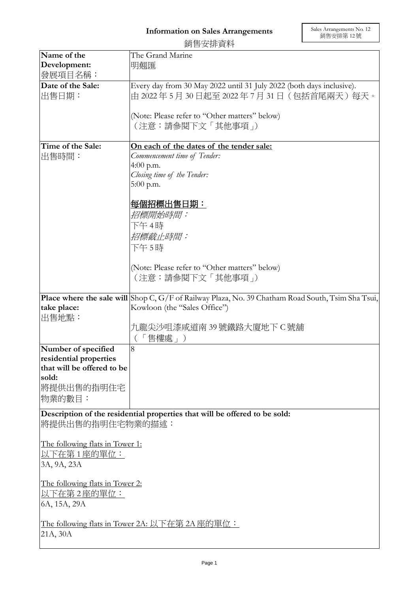|                                                | 銷售安排資料                                                                                                     |  |
|------------------------------------------------|------------------------------------------------------------------------------------------------------------|--|
| Name of the                                    | The Grand Marine                                                                                           |  |
| Development:                                   | 明翹匯                                                                                                        |  |
| 發展項目名稱:                                        |                                                                                                            |  |
| Date of the Sale:                              | Every day from 30 May 2022 until 31 July 2022 (both days inclusive).                                       |  |
| 出售日期:                                          | 由 2022年5月30日起至 2022年7月31日 (包括首尾兩天)每天。                                                                      |  |
|                                                |                                                                                                            |  |
|                                                | (Note: Please refer to "Other matters" below)                                                              |  |
|                                                | (注意:請參閱下文「其他事項」)                                                                                           |  |
|                                                |                                                                                                            |  |
| Time of the Sale:                              | On each of the dates of the tender sale:                                                                   |  |
| 出售時間:                                          | Commencement time of Tender:                                                                               |  |
|                                                | 4:00 p.m.                                                                                                  |  |
|                                                | Closing time of the Tender:                                                                                |  |
|                                                | $5:00$ p.m.                                                                                                |  |
|                                                |                                                                                                            |  |
|                                                | 每個招標出售日期:                                                                                                  |  |
|                                                | 招標開始時間:                                                                                                    |  |
|                                                | 下午 4時                                                                                                      |  |
|                                                | 招標截止時間:                                                                                                    |  |
|                                                | 下午 5時                                                                                                      |  |
|                                                |                                                                                                            |  |
|                                                | (Note: Please refer to "Other matters" below)                                                              |  |
|                                                | (注意:請參閱下文「其他事項」)                                                                                           |  |
|                                                |                                                                                                            |  |
|                                                | <b>Place where the sale will</b> Shop C, $G/F$ of Railway Plaza, No. 39 Chatham Road South, Tsim Sha Tsui, |  |
| take place:                                    | Kowloon (the "Sales Office")                                                                               |  |
| 出售地點:                                          |                                                                                                            |  |
|                                                | 九龍尖沙咀漆咸道南 39 號鐵路大廈地下 C 號舖                                                                                  |  |
|                                                | 「售樓處                                                                                                       |  |
| Number of specified                            | 8                                                                                                          |  |
| residential properties                         |                                                                                                            |  |
| that will be offered to be                     |                                                                                                            |  |
| sold:                                          |                                                                                                            |  |
| 將提供出售的指明住宅                                     |                                                                                                            |  |
| 物業的數目:                                         |                                                                                                            |  |
|                                                | Description of the residential properties that will be offered to be sold:                                 |  |
| 將提供出售的指明住宅物業的描述:                               |                                                                                                            |  |
|                                                |                                                                                                            |  |
| The following flats in Tower 1:                |                                                                                                            |  |
| 以下在第1座的單位:                                     |                                                                                                            |  |
| 3A, 9A, 23A                                    |                                                                                                            |  |
|                                                |                                                                                                            |  |
| The following flats in Tower 2:                |                                                                                                            |  |
| <u>以下在第 2 座的單位:</u>                            |                                                                                                            |  |
| 6A, 15A, 29A                                   |                                                                                                            |  |
|                                                |                                                                                                            |  |
| The following flats in Tower 2A: 以下在第 2A 座的單位: |                                                                                                            |  |
| 21A, 30A                                       |                                                                                                            |  |
|                                                |                                                                                                            |  |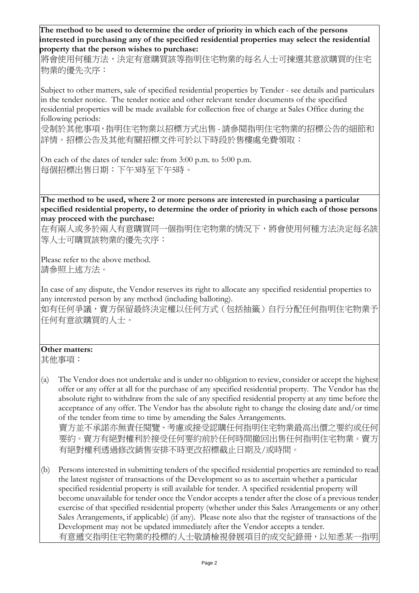**The method to be used to determine the order of priority in which each of the persons interested in purchasing any of the specified residential properties may select the residential property that the person wishes to purchase:** 

將會使用何種方法,決定有意購買該等指明住宅物業的每名人士可揀選其意欲購買的住宅 物業的優先次序:

Subject to other matters, sale of specified residential properties by Tender - see details and particulars in the tender notice. The tender notice and other relevant tender documents of the specified residential properties will be made available for collection free of charge at Sales Office during the following periods:

受制於其他事項,指明住宅物業以招標方式出售 - 請參閱指明住宅物業的招標公告的細節和 詳情。招標公告及其他有關招標文件可於以下時段於售樓處免費領取:

On each of the dates of tender sale: from 3:00 p.m. to 5:00 p.m. 每個招標出售日期:下午3時至下午5時。

**The method to be used, where 2 or more persons are interested in purchasing a particular specified residential property, to determine the order of priority in which each of those persons may proceed with the purchase:**

在有兩人或多於兩人有意購買同一個指明住宅物業的情況下,將會使用何種方法決定每名該 等人士可購買該物業的優先次序:

Please refer to the above method. 請參照上述方法。

In case of any dispute, the Vendor reserves its right to allocate any specified residential properties to any interested person by any method (including balloting).

如有任何爭議,賣方保留最終決定權以任何方式(包括抽籤)自行分配任何指明住宅物業予 任何有意欲購買的人士。

## **Other matters:**

其他事項:

- (a) The Vendor does not undertake and is under no obligation to review, consider or accept the highest offer or any offer at all for the purchase of any specified residential property. The Vendor has the absolute right to withdraw from the sale of any specified residential property at any time before the acceptance of any offer. The Vendor has the absolute right to change the closing date and/or time of the tender from time to time by amending the Sales Arrangements. 賣方並不承諾亦無責任閱覽、考慮或接受認購任何指明住宅物業最高出價之要約或任何 要約。賣方有絕對權利於接受任何要約前於任何時間撤回出售任何指明住宅物業。賣方 有絕對權利透過修改銷售安排不時更改招標截止日期及/或時間。
- (b) Persons interested in submitting tenders of the specified residential properties are reminded to read the latest register of transactions of the Development so as to ascertain whether a particular specified residential property is still available for tender. A specified residential property will become unavailable for tender once the Vendor accepts a tender after the close of a previous tender exercise of that specified residential property (whether under this Sales Arrangements or any other Sales Arrangements, if applicable) (if any). Please note also that the register of transactions of the Development may not be updated immediately after the Vendor accepts a tender. 有意遞交指明住宅物業的投標的人士敬請檢視發展項目的成交紀錄冊,以知悉某一指明